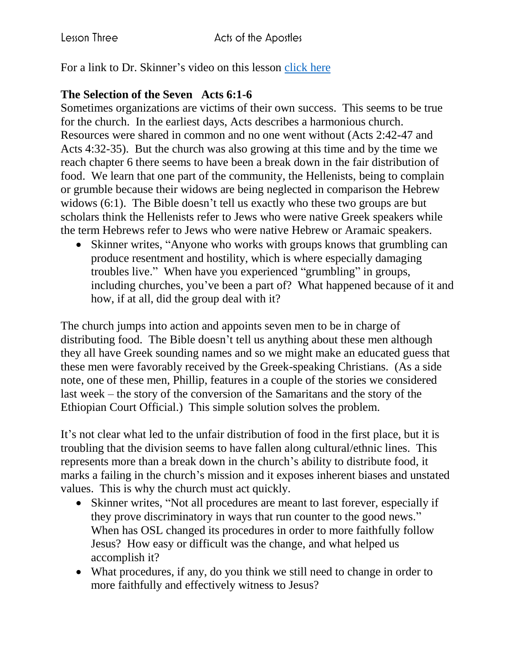For a link to Dr. Skinner's video on this lesson [click here](https://my.amplifymedia.com/amplify/series/unitedmethodistpublishinghouse/30870-acts?fbclid=IwAR3ywGl_HyjOrXPLm8tDJBlnJFFMu-UlPSUogvcW6GrNOJ660HmK3nUMN-U)

## **The Selection of the Seven Acts 6:1-6**

Sometimes organizations are victims of their own success. This seems to be true for the church. In the earliest days, Acts describes a harmonious church. Resources were shared in common and no one went without (Acts 2:42-47 and Acts 4:32-35). But the church was also growing at this time and by the time we reach chapter 6 there seems to have been a break down in the fair distribution of food. We learn that one part of the community, the Hellenists, being to complain or grumble because their widows are being neglected in comparison the Hebrew widows (6:1). The Bible doesn't tell us exactly who these two groups are but scholars think the Hellenists refer to Jews who were native Greek speakers while the term Hebrews refer to Jews who were native Hebrew or Aramaic speakers.

• Skinner writes, "Anyone who works with groups knows that grumbling can produce resentment and hostility, which is where especially damaging troubles live." When have you experienced "grumbling" in groups, including churches, you've been a part of? What happened because of it and how, if at all, did the group deal with it?

The church jumps into action and appoints seven men to be in charge of distributing food. The Bible doesn't tell us anything about these men although they all have Greek sounding names and so we might make an educated guess that these men were favorably received by the Greek-speaking Christians. (As a side note, one of these men, Phillip, features in a couple of the stories we considered last week – the story of the conversion of the Samaritans and the story of the Ethiopian Court Official.) This simple solution solves the problem.

It's not clear what led to the unfair distribution of food in the first place, but it is troubling that the division seems to have fallen along cultural/ethnic lines. This represents more than a break down in the church's ability to distribute food, it marks a failing in the church's mission and it exposes inherent biases and unstated values. This is why the church must act quickly.

- Skinner writes, "Not all procedures are meant to last forever, especially if they prove discriminatory in ways that run counter to the good news." When has OSL changed its procedures in order to more faithfully follow Jesus? How easy or difficult was the change, and what helped us accomplish it?
- What procedures, if any, do you think we still need to change in order to more faithfully and effectively witness to Jesus?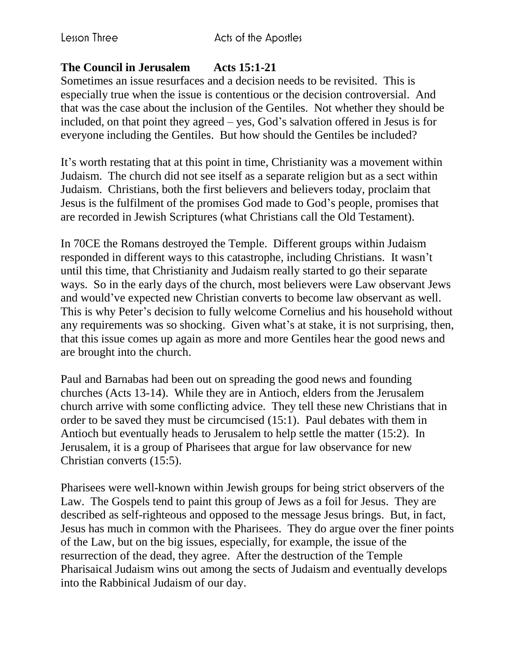## **The Council in Jerusalem Acts 15:1-21**

Sometimes an issue resurfaces and a decision needs to be revisited. This is especially true when the issue is contentious or the decision controversial. And that was the case about the inclusion of the Gentiles. Not whether they should be included, on that point they agreed – yes, God's salvation offered in Jesus is for everyone including the Gentiles. But how should the Gentiles be included?

It's worth restating that at this point in time, Christianity was a movement within Judaism. The church did not see itself as a separate religion but as a sect within Judaism. Christians, both the first believers and believers today, proclaim that Jesus is the fulfilment of the promises God made to God's people, promises that are recorded in Jewish Scriptures (what Christians call the Old Testament).

In 70CE the Romans destroyed the Temple. Different groups within Judaism responded in different ways to this catastrophe, including Christians. It wasn't until this time, that Christianity and Judaism really started to go their separate ways. So in the early days of the church, most believers were Law observant Jews and would've expected new Christian converts to become law observant as well. This is why Peter's decision to fully welcome Cornelius and his household without any requirements was so shocking. Given what's at stake, it is not surprising, then, that this issue comes up again as more and more Gentiles hear the good news and are brought into the church.

Paul and Barnabas had been out on spreading the good news and founding churches (Acts 13-14). While they are in Antioch, elders from the Jerusalem church arrive with some conflicting advice. They tell these new Christians that in order to be saved they must be circumcised (15:1). Paul debates with them in Antioch but eventually heads to Jerusalem to help settle the matter (15:2). In Jerusalem, it is a group of Pharisees that argue for law observance for new Christian converts (15:5).

Pharisees were well-known within Jewish groups for being strict observers of the Law. The Gospels tend to paint this group of Jews as a foil for Jesus. They are described as self-righteous and opposed to the message Jesus brings. But, in fact, Jesus has much in common with the Pharisees. They do argue over the finer points of the Law, but on the big issues, especially, for example, the issue of the resurrection of the dead, they agree. After the destruction of the Temple Pharisaical Judaism wins out among the sects of Judaism and eventually develops into the Rabbinical Judaism of our day.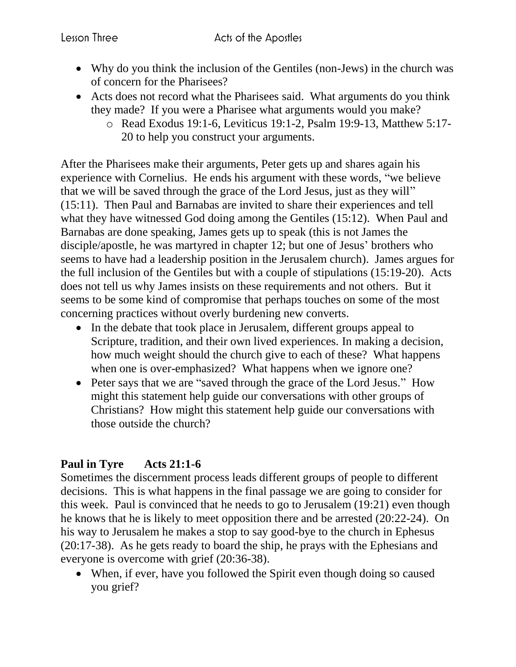- Why do you think the inclusion of the Gentiles (non-Jews) in the church was of concern for the Pharisees?
- Acts does not record what the Pharisees said. What arguments do you think they made? If you were a Pharisee what arguments would you make?
	- o Read Exodus 19:1-6, Leviticus 19:1-2, Psalm 19:9-13, Matthew 5:17- 20 to help you construct your arguments.

After the Pharisees make their arguments, Peter gets up and shares again his experience with Cornelius. He ends his argument with these words, "we believe that we will be saved through the grace of the Lord Jesus, just as they will" (15:11). Then Paul and Barnabas are invited to share their experiences and tell what they have witnessed God doing among the Gentiles (15:12). When Paul and Barnabas are done speaking, James gets up to speak (this is not James the disciple/apostle, he was martyred in chapter 12; but one of Jesus' brothers who seems to have had a leadership position in the Jerusalem church). James argues for the full inclusion of the Gentiles but with a couple of stipulations (15:19-20). Acts does not tell us why James insists on these requirements and not others. But it seems to be some kind of compromise that perhaps touches on some of the most concerning practices without overly burdening new converts.

- In the debate that took place in Jerusalem, different groups appeal to Scripture, tradition, and their own lived experiences. In making a decision, how much weight should the church give to each of these? What happens when one is over-emphasized? What happens when we ignore one?
- Peter says that we are "saved through the grace of the Lord Jesus." How might this statement help guide our conversations with other groups of Christians? How might this statement help guide our conversations with those outside the church?

## **Paul in Tyre Acts 21:1-6**

Sometimes the discernment process leads different groups of people to different decisions. This is what happens in the final passage we are going to consider for this week. Paul is convinced that he needs to go to Jerusalem (19:21) even though he knows that he is likely to meet opposition there and be arrested (20:22-24). On his way to Jerusalem he makes a stop to say good-bye to the church in Ephesus (20:17-38). As he gets ready to board the ship, he prays with the Ephesians and everyone is overcome with grief (20:36-38).

• When, if ever, have you followed the Spirit even though doing so caused you grief?